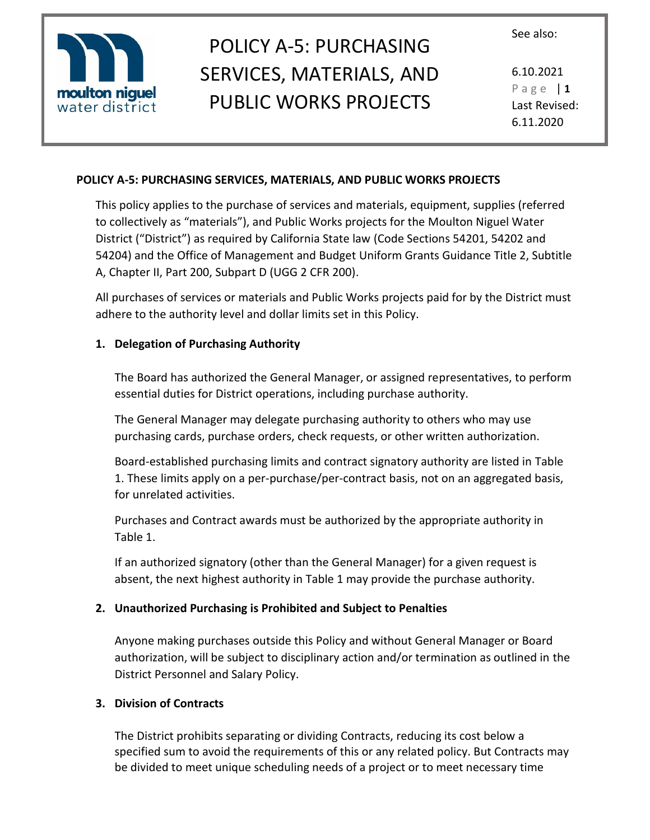



6.10.2021 P a g e | **1** Last Revised: 6.11.2020

#### **POLICY A-5: PURCHASING SERVICES, MATERIALS, AND PUBLIC WORKS PROJECTS**

This policy applies to the purchase of services and materials, equipment, supplies (referred to collectively as "materials"), and Public Works projects for the Moulton Niguel Water District ("District") as required by California State law (Code Sections 54201, 54202 and 54204) and the Office of Management and Budget Uniform Grants Guidance Title 2, Subtitle A, Chapter II, Part 200, Subpart D (UGG 2 CFR 200).

All purchases of services or materials and Public Works projects paid for by the District must adhere to the authority level and dollar limits set in this Policy.

## **1. Delegation of Purchasing Authority**

The Board has authorized the General Manager, or assigned representatives, to perform essential duties for District operations, including purchase authority.

The General Manager may delegate purchasing authority to others who may use purchasing cards, purchase orders, check requests, or other written authorization.

Board-established purchasing limits and contract signatory authority are listed in Table 1. These limits apply on a per-purchase/per-contract basis, not on an aggregated basis, for unrelated activities.

Purchases and Contract awards must be authorized by the appropriate authority in Table 1.

If an authorized signatory (other than the General Manager) for a given request is absent, the next highest authority in Table 1 may provide the purchase authority.

## **2. Unauthorized Purchasing is Prohibited and Subject to Penalties**

Anyone making purchases outside this Policy and without General Manager or Board authorization, will be subject to disciplinary action and/or termination as outlined in the District Personnel and Salary Policy.

## **3. Division of Contracts**

The District prohibits separating or dividing Contracts, reducing its cost below a specified sum to avoid the requirements of this or any related policy. But Contracts may be divided to meet unique scheduling needs of a project or to meet necessary time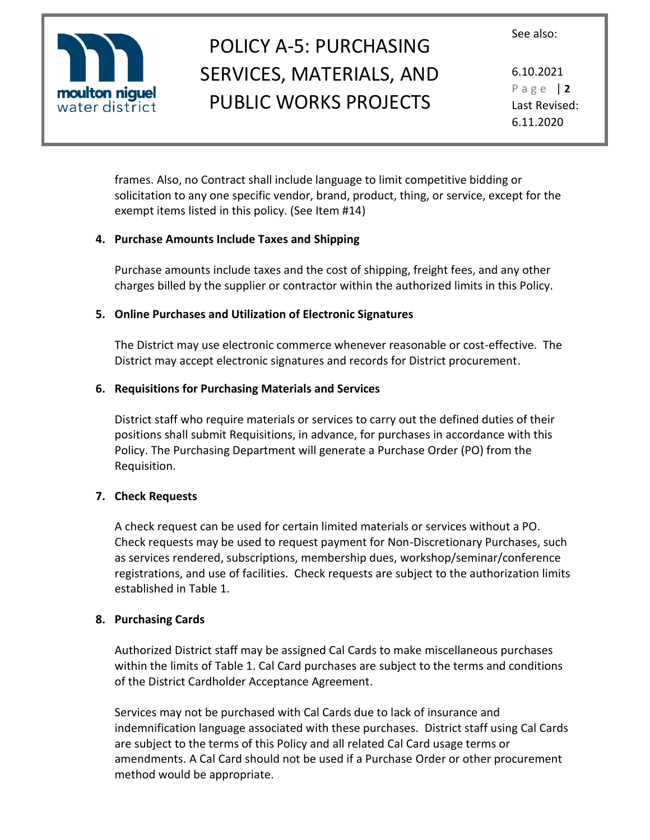

## POLICY A-5: PURCHASING SERVICES, MATERIALS, AND PUBLIC WORKS PROJECTS

6.10.2021 P a g e | **2** Last Revised: 6.11.2020

frames. Also, no Contract shall include language to limit competitive bidding or solicitation to any one specific vendor, brand, product, thing, or service, except for the exempt items listed in this policy. (See Item #14)

## **4. Purchase Amounts Include Taxes and Shipping**

Purchase amounts include taxes and the cost of shipping, freight fees, and any other charges billed by the supplier or contractor within the authorized limits in this Policy.

## **5. Online Purchases and Utilization of Electronic Signatures**

The District may use electronic commerce whenever reasonable or cost-effective. The District may accept electronic signatures and records for District procurement.

## **6. Requisitions for Purchasing Materials and Services**

District staff who require materials or services to carry out the defined duties of their positions shall submit Requisitions, in advance, for purchases in accordance with this Policy. The Purchasing Department will generate a Purchase Order (PO) from the Requisition.

## **7. Check Requests**

A check request can be used for certain limited materials or services without a PO. Check requests may be used to request payment for Non-Discretionary Purchases, such as services rendered, subscriptions, membership dues, workshop/seminar/conference registrations, and use of facilities. Check requests are subject to the authorization limits established in Table 1.

## **8. Purchasing Cards**

Authorized District staff may be assigned Cal Cards to make miscellaneous purchases within the limits of Table 1. Cal Card purchases are subject to the terms and conditions of the District Cardholder Acceptance Agreement.

Services may not be purchased with Cal Cards due to lack of insurance and indemnification language associated with these purchases. District staff using Cal Cards are subject to the terms of this Policy and all related Cal Card usage terms or amendments. A Cal Card should not be used if a Purchase Order or other procurement method would be appropriate.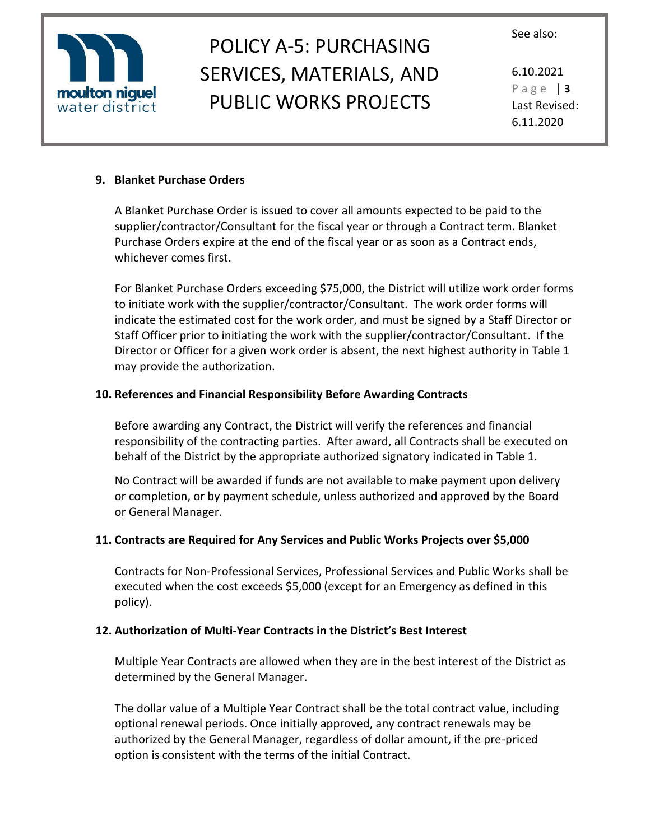

## POLICY A-5: PURCHASING SERVICES, MATERIALS, AND PUBLIC WORKS PROJECTS

6.10.2021 P a g e | **3** Last Revised: 6.11.2020

#### **9. Blanket Purchase Orders**

A Blanket Purchase Order is issued to cover all amounts expected to be paid to the supplier/contractor/Consultant for the fiscal year or through a Contract term. Blanket Purchase Orders expire at the end of the fiscal year or as soon as a Contract ends, whichever comes first.

For Blanket Purchase Orders exceeding \$75,000, the District will utilize work order forms to initiate work with the supplier/contractor/Consultant. The work order forms will indicate the estimated cost for the work order, and must be signed by a Staff Director or Staff Officer prior to initiating the work with the supplier/contractor/Consultant. If the Director or Officer for a given work order is absent, the next highest authority in Table 1 may provide the authorization.

## **10. References and Financial Responsibility Before Awarding Contracts**

Before awarding any Contract, the District will verify the references and financial responsibility of the contracting parties. After award, all Contracts shall be executed on behalf of the District by the appropriate authorized signatory indicated in Table 1.

No Contract will be awarded if funds are not available to make payment upon delivery or completion, or by payment schedule, unless authorized and approved by the Board or General Manager.

## **11. Contracts are Required for Any Services and Public Works Projects over \$5,000**

Contracts for Non-Professional Services, Professional Services and Public Works shall be executed when the cost exceeds \$5,000 (except for an Emergency as defined in this policy).

## **12. Authorization of Multi-Year Contracts in the District's Best Interest**

Multiple Year Contracts are allowed when they are in the best interest of the District as determined by the General Manager.

The dollar value of a Multiple Year Contract shall be the total contract value, including optional renewal periods. Once initially approved, any contract renewals may be authorized by the General Manager, regardless of dollar amount, if the pre-priced option is consistent with the terms of the initial Contract.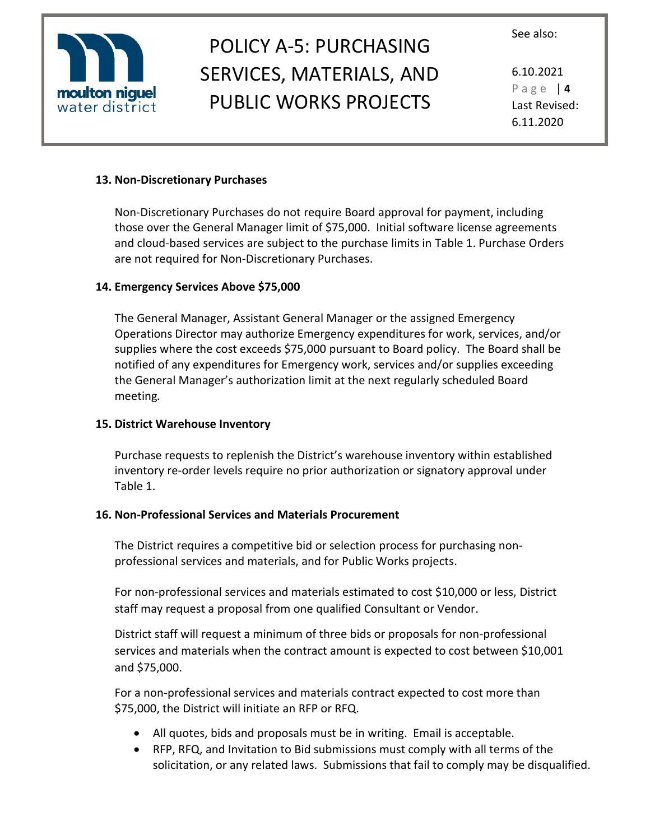

## POLICY A-5: PURCHASING SERVICES, MATERIALS, AND PUBLIC WORKS PROJECTS

6.10.2021 P a g e | **4** Last Revised: 6.11.2020

#### **13. Non-Discretionary Purchases**

Non-Discretionary Purchases do not require Board approval for payment, including those over the General Manager limit of \$75,000. Initial software license agreements and cloud-based services are subject to the purchase limits in Table 1. Purchase Orders are not required for Non-Discretionary Purchases.

#### **14. Emergency Services Above \$75,000**

The General Manager, Assistant General Manager or the assigned Emergency Operations Director may authorize Emergency expenditures for work, services, and/or supplies where the cost exceeds \$75,000 pursuant to Board policy. The Board shall be notified of any expenditures for Emergency work, services and/or supplies exceeding the General Manager's authorization limit at the next regularly scheduled Board meeting*.* 

#### **15. District Warehouse Inventory**

Purchase requests to replenish the District's warehouse inventory within established inventory re-order levels require no prior authorization or signatory approval under Table 1.

#### **16. Non-Professional Services and Materials Procurement**

The District requires a competitive bid or selection process for purchasing nonprofessional services and materials, and for Public Works projects.

For non-professional services and materials estimated to cost \$10,000 or less, District staff may request a proposal from one qualified Consultant or Vendor.

District staff will request a minimum of three bids or proposals for non-professional services and materials when the contract amount is expected to cost between \$10,001 and \$75,000.

For a non-professional services and materials contract expected to cost more than \$75,000, the District will initiate an RFP or RFQ.

- All quotes, bids and proposals must be in writing. Email is acceptable.
- RFP, RFQ, and Invitation to Bid submissions must comply with all terms of the solicitation, or any related laws. Submissions that fail to comply may be disqualified.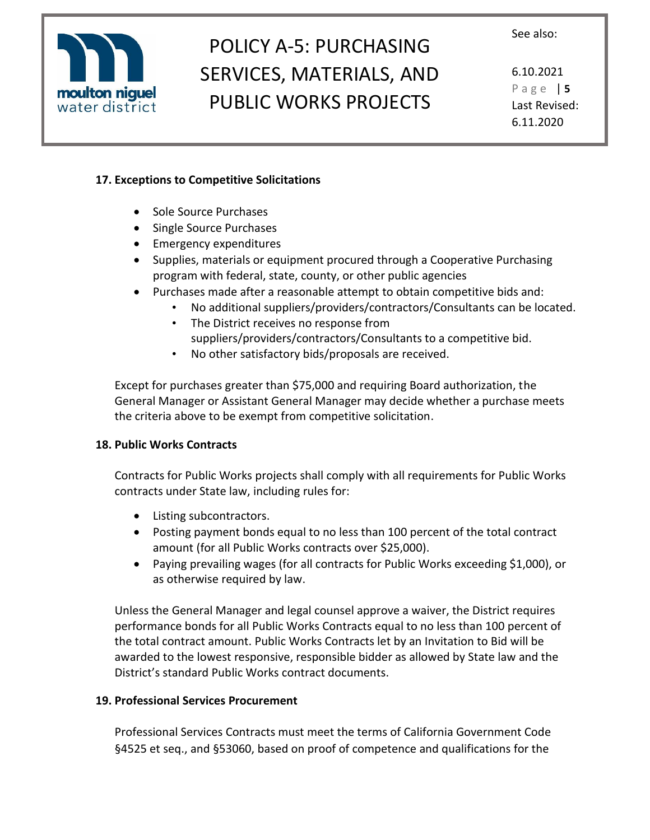

## POLICY A-5: PURCHASING SERVICES, MATERIALS, AND PUBLIC WORKS PROJECTS

6.10.2021 P a g e | **5** Last Revised: 6.11.2020

## **17. Exceptions to Competitive Solicitations**

- Sole Source Purchases
- Single Source Purchases
- Emergency expenditures
- Supplies, materials or equipment procured through a Cooperative Purchasing program with federal, state, county, or other public agencies
- Purchases made after a reasonable attempt to obtain competitive bids and:
	- No additional suppliers/providers/contractors/Consultants can be located.
	- The District receives no response from suppliers/providers/contractors/Consultants to a competitive bid.
	- No other satisfactory bids/proposals are received.

Except for purchases greater than \$75,000 and requiring Board authorization, the General Manager or Assistant General Manager may decide whether a purchase meets the criteria above to be exempt from competitive solicitation.

## **18. Public Works Contracts**

Contracts for Public Works projects shall comply with all requirements for Public Works contracts under State law, including rules for:

- Listing subcontractors.
- Posting payment bonds equal to no less than 100 percent of the total contract amount (for all Public Works contracts over \$25,000).
- Paying prevailing wages (for all contracts for Public Works exceeding \$1,000), or as otherwise required by law.

Unless the General Manager and legal counsel approve a waiver, the District requires performance bonds for all Public Works Contracts equal to no less than 100 percent of the total contract amount. Public Works Contracts let by an Invitation to Bid will be awarded to the lowest responsive, responsible bidder as allowed by State law and the District's standard Public Works contract documents.

## **19. Professional Services Procurement**

Professional Services Contracts must meet the terms of California Government Code §4525 et seq., and §53060, based on proof of competence and qualifications for the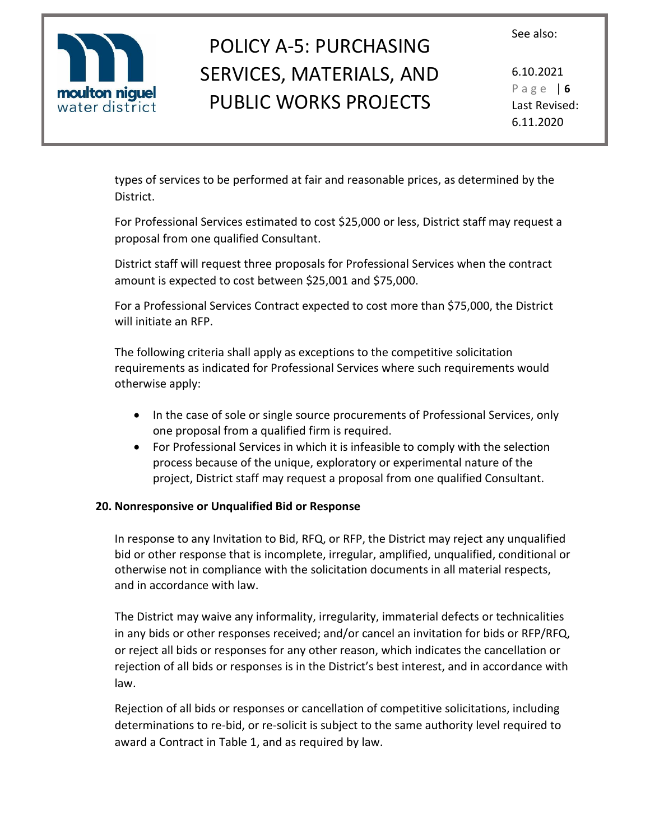

# POLICY A-5: PURCHASING SERVICES, MATERIALS, AND PUBLIC WORKS PROJECTS

6.10.2021 P a g e | **6** Last Revised: 6.11.2020

types of services to be performed at fair and reasonable prices, as determined by the District.

For Professional Services estimated to cost \$25,000 or less, District staff may request a proposal from one qualified Consultant.

District staff will request three proposals for Professional Services when the contract amount is expected to cost between \$25,001 and \$75,000.

For a Professional Services Contract expected to cost more than \$75,000, the District will initiate an RFP.

The following criteria shall apply as exceptions to the competitive solicitation requirements as indicated for Professional Services where such requirements would otherwise apply:

- In the case of sole or single source procurements of Professional Services, only one proposal from a qualified firm is required.
- For Professional Services in which it is infeasible to comply with the selection process because of the unique, exploratory or experimental nature of the project, District staff may request a proposal from one qualified Consultant.

## **20. Nonresponsive or Unqualified Bid or Response**

In response to any Invitation to Bid, RFQ, or RFP, the District may reject any unqualified bid or other response that is incomplete, irregular, amplified, unqualified, conditional or otherwise not in compliance with the solicitation documents in all material respects, and in accordance with law.

The District may waive any informality, irregularity, immaterial defects or technicalities in any bids or other responses received; and/or cancel an invitation for bids or RFP/RFQ, or reject all bids or responses for any other reason, which indicates the cancellation or rejection of all bids or responses is in the District's best interest, and in accordance with law.

Rejection of all bids or responses or cancellation of competitive solicitations, including determinations to re-bid, or re-solicit is subject to the same authority level required to award a Contract in Table 1, and as required by law.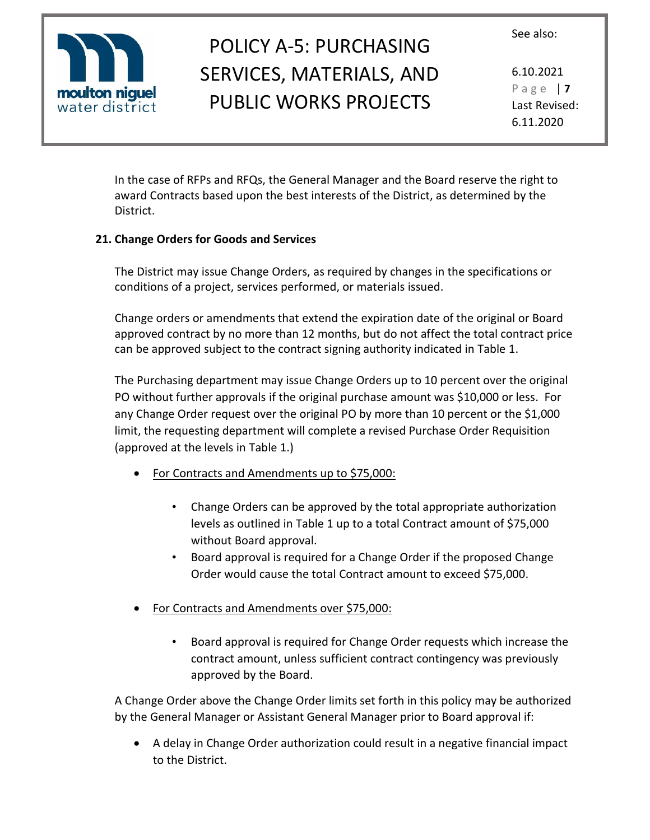

# POLICY A-5: PURCHASING SERVICES, MATERIALS, AND PUBLIC WORKS PROJECTS

6.10.2021 P a g e | **7** Last Revised: 6.11.2020

In the case of RFPs and RFQs, the General Manager and the Board reserve the right to award Contracts based upon the best interests of the District, as determined by the District.

## **21. Change Orders for Goods and Services**

The District may issue Change Orders, as required by changes in the specifications or conditions of a project, services performed, or materials issued.

Change orders or amendments that extend the expiration date of the original or Board approved contract by no more than 12 months, but do not affect the total contract price can be approved subject to the contract signing authority indicated in Table 1.

The Purchasing department may issue Change Orders up to 10 percent over the original PO without further approvals if the original purchase amount was \$10,000 or less. For any Change Order request over the original PO by more than 10 percent or the \$1,000 limit, the requesting department will complete a revised Purchase Order Requisition (approved at the levels in Table 1.)

- For Contracts and Amendments up to \$75,000:
	- Change Orders can be approved by the total appropriate authorization levels as outlined in Table 1 up to a total Contract amount of \$75,000 without Board approval.
	- Board approval is required for a Change Order if the proposed Change Order would cause the total Contract amount to exceed \$75,000.
- For Contracts and Amendments over \$75,000:
	- Board approval is required for Change Order requests which increase the contract amount, unless sufficient contract contingency was previously approved by the Board.

A Change Order above the Change Order limits set forth in this policy may be authorized by the General Manager or Assistant General Manager prior to Board approval if:

• A delay in Change Order authorization could result in a negative financial impact to the District.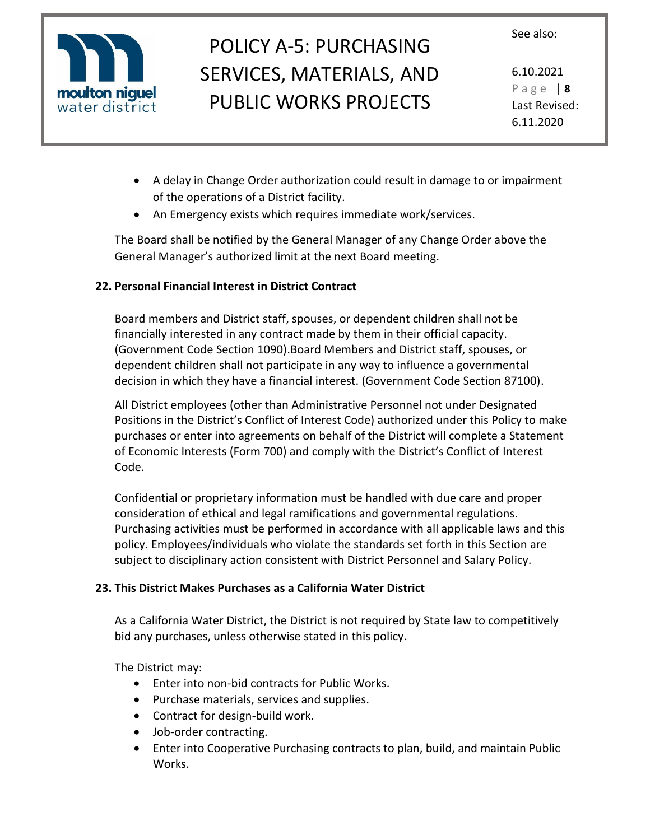

## POLICY A-5: PURCHASING SERVICES, MATERIALS, AND PUBLIC WORKS PROJECTS

6.10.2021 P a g e | **8** Last Revised: 6.11.2020

- A delay in Change Order authorization could result in damage to or impairment of the operations of a District facility.
- An Emergency exists which requires immediate work/services.

The Board shall be notified by the General Manager of any Change Order above the General Manager's authorized limit at the next Board meeting.

## **22. Personal Financial Interest in District Contract**

Board members and District staff, spouses, or dependent children shall not be financially interested in any contract made by them in their official capacity. (Government Code Section 1090).Board Members and District staff, spouses, or dependent children shall not participate in any way to influence a governmental decision in which they have a financial interest. (Government Code Section 87100).

All District employees (other than Administrative Personnel not under Designated Positions in the District's Conflict of Interest Code) authorized under this Policy to make purchases or enter into agreements on behalf of the District will complete a Statement of Economic Interests (Form 700) and comply with the District's Conflict of Interest Code.

Confidential or proprietary information must be handled with due care and proper consideration of ethical and legal ramifications and governmental regulations. Purchasing activities must be performed in accordance with all applicable laws and this policy. Employees/individuals who violate the standards set forth in this Section are subject to disciplinary action consistent with District Personnel and Salary Policy.

## **23. This District Makes Purchases as a California Water District**

As a California Water District, the District is not required by State law to competitively bid any purchases, unless otherwise stated in this policy.

The District may:

- Enter into non-bid contracts for Public Works.
- Purchase materials, services and supplies.
- Contract for design-build work.
- Job-order contracting.
- Enter into Cooperative Purchasing contracts to plan, build, and maintain Public Works.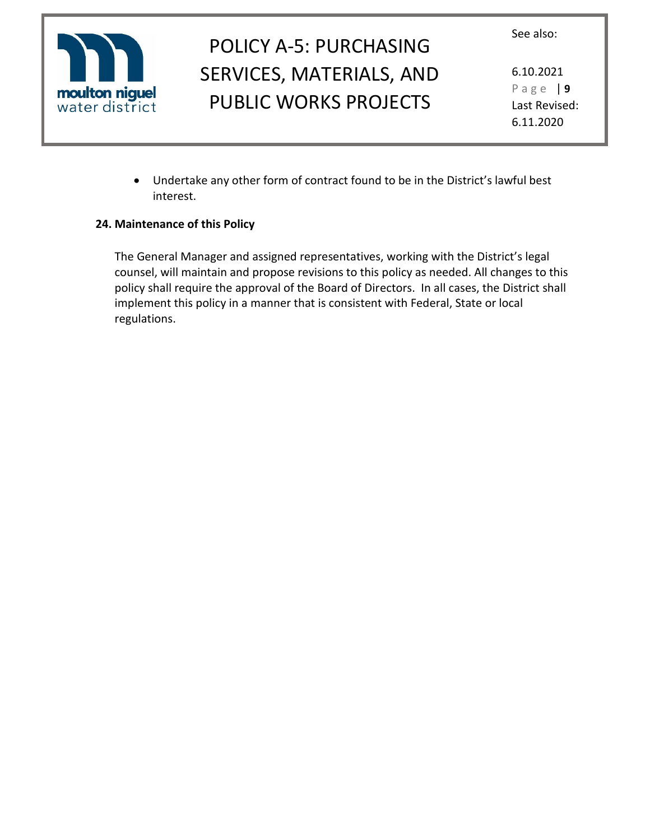



6.10.2021 P a g e | **9** Last Revised: 6.11.2020

• Undertake any other form of contract found to be in the District's lawful best interest.

## **24. Maintenance of this Policy**

The General Manager and assigned representatives, working with the District's legal counsel, will maintain and propose revisions to this policy as needed. All changes to this policy shall require the approval of the Board of Directors. In all cases, the District shall implement this policy in a manner that is consistent with Federal, State or local regulations.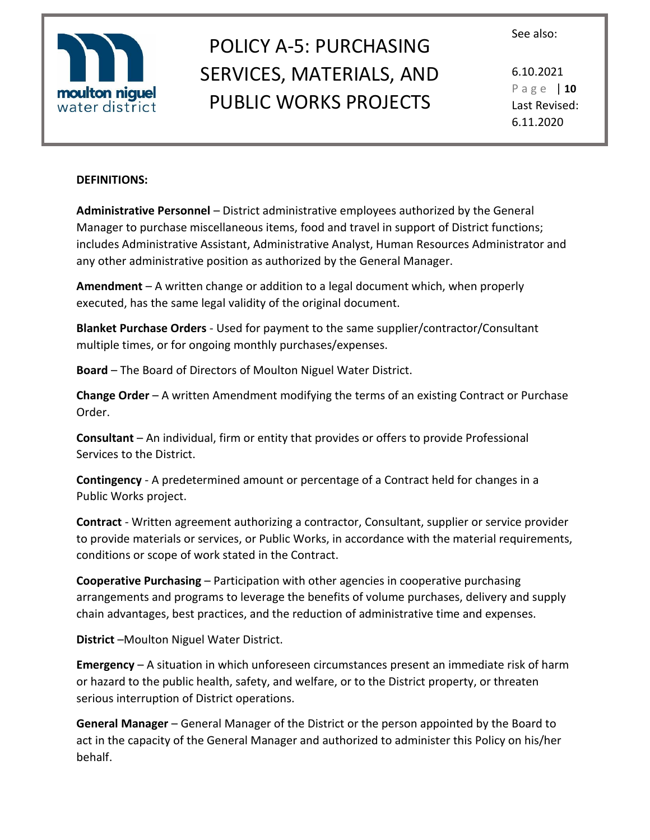



6.10.2021 P a g e | **10** Last Revised: 6.11.2020

#### **DEFINITIONS:**

**Administrative Personnel** – District administrative employees authorized by the General Manager to purchase miscellaneous items, food and travel in support of District functions; includes Administrative Assistant, Administrative Analyst, Human Resources Administrator and any other administrative position as authorized by the General Manager.

**Amendment** – A written change or addition to a legal document which, when properly executed, has the same legal validity of the original document.

**Blanket Purchase Orders** - Used for payment to the same supplier/contractor/Consultant multiple times, or for ongoing monthly purchases/expenses.

**Board** – The Board of Directors of Moulton Niguel Water District.

**Change Order** – A written Amendment modifying the terms of an existing Contract or Purchase Order.

**Consultant** – An individual, firm or entity that provides or offers to provide Professional Services to the District.

**Contingency** - A predetermined amount or percentage of a Contract held for changes in a Public Works project.

**Contract** - Written agreement authorizing a contractor, Consultant, supplier or service provider to provide materials or services, or Public Works, in accordance with the material requirements, conditions or scope of work stated in the Contract.

**Cooperative Purchasing** – Participation with other agencies in cooperative purchasing arrangements and programs to leverage the benefits of volume purchases, delivery and supply chain advantages, best practices, and the reduction of administrative time and expenses.

**District** –Moulton Niguel Water District.

**Emergency** – A situation in which unforeseen circumstances present an immediate risk of harm or hazard to the public health, safety, and welfare, or to the District property, or threaten serious interruption of District operations.

**General Manager** – General Manager of the District or the person appointed by the Board to act in the capacity of the General Manager and authorized to administer this Policy on his/her behalf.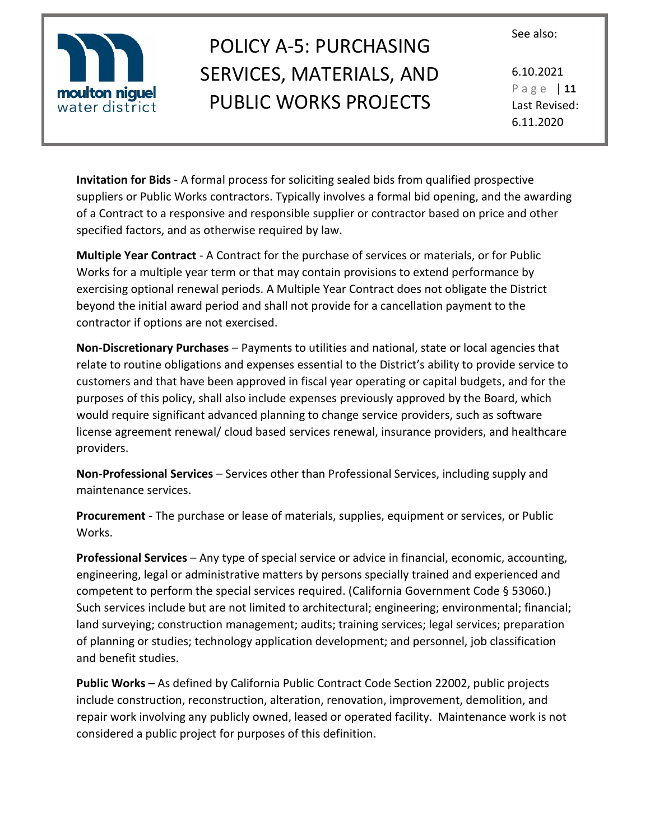

# POLICY A-5: PURCHASING SERVICES, MATERIALS, AND PUBLIC WORKS PROJECTS

6.10.2021 P a g e | **11** Last Revised: 6.11.2020

**Invitation for Bids** - A formal process for soliciting sealed bids from qualified prospective suppliers or Public Works contractors. Typically involves a formal bid opening, and the awarding of a Contract to a responsive and responsible supplier or contractor based on price and other specified factors, and as otherwise required by law.

**Multiple Year Contract** - A Contract for the purchase of services or materials, or for Public Works for a multiple year term or that may contain provisions to extend performance by exercising optional renewal periods. A Multiple Year Contract does not obligate the District beyond the initial award period and shall not provide for a cancellation payment to the contractor if options are not exercised.

**Non-Discretionary Purchases** – Payments to utilities and national, state or local agencies that relate to routine obligations and expenses essential to the District's ability to provide service to customers and that have been approved in fiscal year operating or capital budgets, and for the purposes of this policy, shall also include expenses previously approved by the Board, which would require significant advanced planning to change service providers, such as software license agreement renewal/ cloud based services renewal, insurance providers, and healthcare providers.

**Non-Professional Services** – Services other than Professional Services, including supply and maintenance services.

**Procurement** - The purchase or lease of materials, supplies, equipment or services, or Public Works.

**Professional Services** – Any type of special service or advice in financial, economic, accounting, engineering, legal or administrative matters by persons specially trained and experienced and competent to perform the special services required. (California Government Code § 53060.) Such services include but are not limited to architectural; engineering; environmental; financial; land surveying; construction management; audits; training services; legal services; preparation of planning or studies; technology application development; and personnel, job classification and benefit studies.

**Public Works** – As defined by California Public Contract Code Section 22002, public projects include construction, reconstruction, alteration, renovation, improvement, demolition, and repair work involving any publicly owned, leased or operated facility. Maintenance work is not considered a public project for purposes of this definition.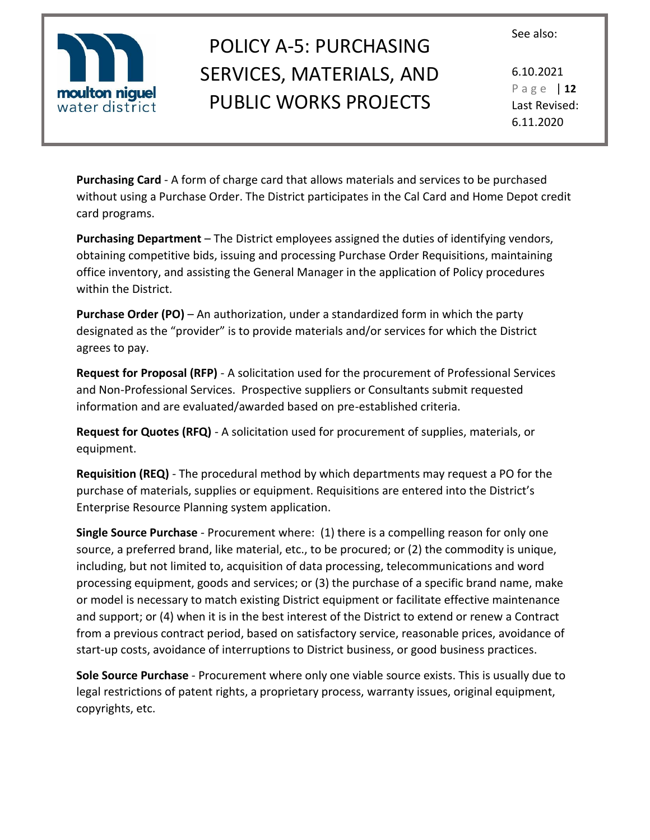



6.10.2021 P a g e | **12** Last Revised: 6.11.2020

**Purchasing Card** - A form of charge card that allows materials and services to be purchased without using a Purchase Order. The District participates in the Cal Card and Home Depot credit card programs.

**Purchasing Department** – The District employees assigned the duties of identifying vendors, obtaining competitive bids, issuing and processing Purchase Order Requisitions, maintaining office inventory, and assisting the General Manager in the application of Policy procedures within the District.

**Purchase Order (PO)** – An authorization, under a standardized form in which the party designated as the "provider" is to provide materials and/or services for which the District agrees to pay.

**Request for Proposal (RFP)** - A solicitation used for the procurement of Professional Services and Non-Professional Services. Prospective suppliers or Consultants submit requested information and are evaluated/awarded based on pre-established criteria.

**Request for Quotes (RFQ)** - A solicitation used for procurement of supplies, materials, or equipment.

**Requisition (REQ)** - The procedural method by which departments may request a PO for the purchase of materials, supplies or equipment. Requisitions are entered into the District's Enterprise Resource Planning system application.

**Single Source Purchase** - Procurement where: (1) there is a compelling reason for only one source, a preferred brand, like material, etc., to be procured; or (2) the commodity is unique, including, but not limited to, acquisition of data processing, telecommunications and word processing equipment, goods and services; or (3) the purchase of a specific brand name, make or model is necessary to match existing District equipment or facilitate effective maintenance and support; or (4) when it is in the best interest of the District to extend or renew a Contract from a previous contract period, based on satisfactory service, reasonable prices, avoidance of start-up costs, avoidance of interruptions to District business, or good business practices.

**Sole Source Purchase** - Procurement where only one viable source exists. This is usually due to legal restrictions of patent rights, a proprietary process, warranty issues, original equipment, copyrights, etc.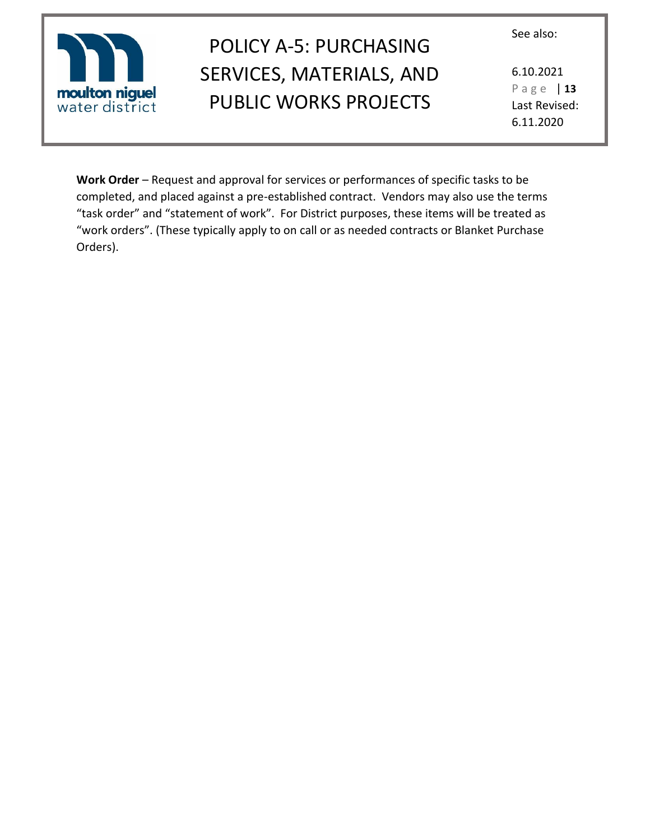

# POLICY A-5: PURCHASING SERVICES, MATERIALS, AND PUBLIC WORKS PROJECTS

6.10.2021 P a g e | **13** Last Revised: 6.11.2020

**Work Order** – Request and approval for services or performances of specific tasks to be completed, and placed against a pre-established contract. Vendors may also use the terms "task order" and "statement of work". For District purposes, these items will be treated as "work orders". (These typically apply to on call or as needed contracts or Blanket Purchase Orders).